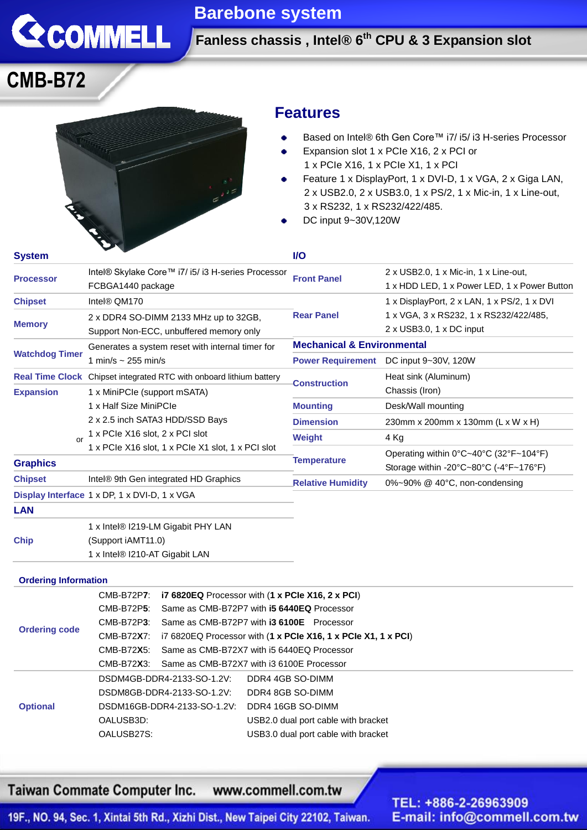

### **Barebone system**

**Fanless chassis , Intel® 6 th CPU & 3 Expansion slot**

## **CMB-B72**



### **Features**

- Based on Intel® 6th Gen Core™ i7/ i5/ i3 H-series Processor ä
- Expansion slot 1 x PCIe X16, 2 x PCI or ٠ 1 x PCIe X16, 1 x PCIe X1, 1 x PCI
- Feature 1 x DisplayPort, 1 x DVI-D, 1 x VGA, 2 x Giga LAN, 2 x USB2.0, 2 x USB3.0, 1 x PS/2, 1 x Mic-in, 1 x Line-out, 3 x RS232, 1 x RS232/422/485.
- DC input 9~30V,120W

| <b>System</b>                  |                                                                                  | <b>VO</b>                             |                                                                                                                                                                                                                 |
|--------------------------------|----------------------------------------------------------------------------------|---------------------------------------|-----------------------------------------------------------------------------------------------------------------------------------------------------------------------------------------------------------------|
| <b>Processor</b>               | Intel® Skylake Core™ i7/ i5/ i3 H-series Processor<br>FCBGA1440 package          | <b>Front Panel</b>                    | 2 x USB2.0, 1 x Mic-in, 1 x Line-out,<br>1 x HDD LED, 1 x Power LED, 1 x Power Button                                                                                                                           |
| <b>Chipset</b>                 | Intel® QM170                                                                     |                                       | 1 x DisplayPort, 2 x LAN, 1 x PS/2, 1 x DVI                                                                                                                                                                     |
| <b>Memory</b>                  | 2 x DDR4 SO-DIMM 2133 MHz up to 32GB,<br>Support Non-ECC, unbuffered memory only | <b>Rear Panel</b>                     | 1 x VGA, 3 x RS232, 1 x RS232/422/485,<br>$2 \times$ USB3.0, 1 $\times$ DC input                                                                                                                                |
| <b>Watchdog Timer</b>          | Generates a system reset with internal timer for                                 | <b>Mechanical &amp; Environmental</b> |                                                                                                                                                                                                                 |
|                                | 1 min/s $\sim$ 255 min/s                                                         | <b>Power Requirement</b>              | DC input 9~30V, 120W                                                                                                                                                                                            |
|                                | <b>Real Time Clock</b> Chipset integrated RTC with onboard lithium battery       | <b>Construction</b>                   | Heat sink (Aluminum)                                                                                                                                                                                            |
| <b>Expansion</b><br>$\alpha$ r | 1 x MiniPCle (support mSATA)                                                     |                                       | Chassis (Iron)                                                                                                                                                                                                  |
|                                | 1 x Half Size MiniPCle<br>2 x 2.5 inch SATA3 HDD/SSD Bays                        | <b>Mounting</b>                       | Desk/Wall mounting                                                                                                                                                                                              |
|                                |                                                                                  | <b>Dimension</b>                      | 230mm x 200mm x 130mm (L x W x H)                                                                                                                                                                               |
|                                | 1 x PCIe X16 slot, 2 x PCI slot                                                  | Weight                                | 4 Kg                                                                                                                                                                                                            |
| <b>Graphics</b>                | 1 x PCIe X16 slot, 1 x PCIe X1 slot, 1 x PCI slot                                | <b>Temperature</b>                    | Operating within $0^{\circ}$ C $\sim$ 40 $^{\circ}$ C (32 $^{\circ}$ F $\sim$ 104 $^{\circ}$ F)<br>Storage within -20 $\textdegree$ C $\sim$ 80 $\textdegree$ C (-4 $\textdegree$ F $\sim$ 176 $\textdegree$ F) |
| <b>Chipset</b>                 | Intel® 9th Gen integrated HD Graphics                                            | <b>Relative Humidity</b>              | 0%~90% @ 40°C, non-condensing                                                                                                                                                                                   |
|                                | Display Interface 1 x DP, 1 x DVI-D, 1 x VGA                                     |                                       |                                                                                                                                                                                                                 |
| <b>LAN</b>                     |                                                                                  |                                       |                                                                                                                                                                                                                 |
|                                | 1 x Intel® I219-LM Gigabit PHY LAN                                               |                                       |                                                                                                                                                                                                                 |

**Chip** (Support iAMT11.0) 1 x Intel® I210-AT Gigabit LAN

#### **Ordering Information**

| <b>Ordering code</b> | CMB-B72P7: i7 6820EQ Processor with (1 x PCIe X16, 2 x PCI) |                                                                                |
|----------------------|-------------------------------------------------------------|--------------------------------------------------------------------------------|
|                      | CMB-B72P <b>5</b> :                                         | Same as CMB-B72P7 with <b>i5 6440EQ</b> Processor                              |
|                      | CMB-B72P3: Same as CMB-B72P7 with <b>i3 6100E</b> Processor |                                                                                |
|                      | CMB-B72 <b>X</b> 7:                                         | i7 6820EQ Processor with $(1 \times PCIe X16, 1 \times PCIe X1, 1 \times PCI)$ |
|                      | $CMB-B72X5$                                                 | Same as CMB-B72X7 with i5 6440EQ Processor                                     |
|                      | CMB-B72X3: Same as CMB-B72X7 with i3 6100E Processor        |                                                                                |
| <b>Optional</b>      | DSDM4GB-DDR4-2133-SO-1.2V:                                  | DDR4 4GB SO-DIMM                                                               |
|                      | DSDM8GB-DDR4-2133-SO-1.2V:                                  | DDR4 8GB SO-DIMM                                                               |
|                      | DSDM16GB-DDR4-2133-SO-1.2V:                                 | DDR4 16GB SO-DIMM                                                              |
|                      | OALUSB3D:                                                   | USB2.0 dual port cable with bracket                                            |
|                      | OALUSB27S:                                                  | USB3.0 dual port cable with bracket                                            |

Taiwan Commate Computer Inc. www.commell.com.tw

TEL: +886-2-26963909 E-mail: info@commell.com.tw

19F., NO. 94, Sec. 1, Xintai 5th Rd., Xizhi Dist., New Taipei City 22102, Taiwan.